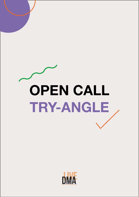# **OPEN CALL TRY-ANGLE**

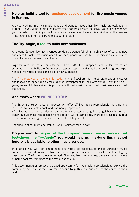Are you working in a live music venue and want to meet other live music professionals in Europe? Do you want to join a collective effort towards a more inclusive live music scene? Are you interested in building a tool for audience development before it is available to other venues in Europe? Then, join the Try-Angle experimentation!

#### **The Try-Angle, a tool to build new audiences**

....

 $\overline{O}$ 

All around Europe, live music venues are doing a wonderful job in finding ways of building new audiences to make live music open to as many people as possible. Diversity is a value dear to many live music professionals' hearts.

Together with live music professionals, Live DMA, the European network for live music associations, has built the Try-Angle: a step-by-step method that helps beginning and experienced live music professionals build new audiences.

The [first prototype of the tool is ready](https://www.live-dma.eu/try-angle/). It is a flowchart that helps organization discover challenges and opportunities for audience development in their own venue. Over the next 2 years, we want to test-drive this prototype with real music venues, real music events and real audiences.

#### **And that's where WE NEED YOU!**

The Try-Angle experimentation process will offer 17 live music professionals the time and resources to take a step back and find new perspectives.

After two years of the pandemic, the live music sector is struggling to get back to normal. Reaching audiences has become more difficult. At the same time, there is a clear feeling that people want to belong to a music scene, not just buy tickets.

The time to experiment and step out of our comfort zone is now.

#### **Do you want to be part of the European team of music venues that test-drives the Try-Angle? You would help us fine-tune this method before it is available to other music venues.**

In practice: you will join like-minded live music professionals to major European music conferences and showcase festival and work together on audience development strategies, based on our Try-Angle prototype method. Then, you back home to test these strategies, before bringing back your findings to the rest of the group.

This experimentation process is a good opportunity for live music professionals to explore the community potential of their live music scene by putting the audience at the center of their work.

**2**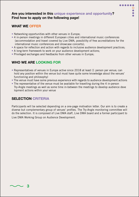....

#### **Are you interested in this unique experience and opportunity? Find how to apply on the following page!**

## **WHAT WE OFFER**

- Networking opportunities with other venues in Europe;
- 4 in-person meetings in different European cities and international music conferences (accommodation and travel covered by Live DMA, possibility of free accreditations for the international music conferences and showcase concerts);
- A space for reflection and action with regards to inclusive audience development practices;
- A long-term framework to work on your audience development actions;
- Privileged exchanges and feedbacks from other venues in Europe;

# **WHO WE ARE LOOKING FOR**

- Representatives of venues in Europe active since 2018 at least (1 person per venue; can hold any position within the venue but must have quite some knowledge about the venues' functioning and philosophy)
- The venue must have some previous experience with regards to audience development actions
- The representative of the venue must be available for travelling during the 4 in-person Try-Angle meetings as well as some time in-between the meetings to develop audience deve lopment actions within your venue

# **SELECTION CRITERIA**

Participants will be selected depending on a one-page motivation letter. Our aim is to create a diverse but complementary group of venues' profiles. The Try-Angle monitoring committee will do the selection. It is composed of Live DMA staff, Live DMA board and a former participant to Live DMA Working Group on Audience Development.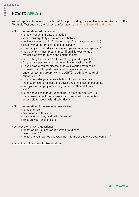## **HOW TO APPLY ?**

......

O

We ask applicants to send us a text of  $1$  page providing their motivations to take part in the Try-Angle Test and also the following information, at [juliette.olivares@live-dma.eu](mailto:juliette.olivares%40live-dma.eu?subject=)

#### • Short presentation text on venue:

- o name of venue and date of creation
- o Venue territory: (city / rural area / in-between)
- o business model (public / private non-profit / private-commercial)
- o size of venue in terms of audience capacity
- o How many concerts does the venue organise in an average year?
- o music genre(s) most programmed, if any? Is your venue a regular platform for niche and emerging acts?
- o current target audience (in terms of age group), if you know?
- o Do you have past experiences in audience development?
- o Do you have a community focus: is your venue known as an inclusive space for performers and audiences part of an underrepresented group (women, LGBTQI+, ethnic or cultural minorities…)?
- o Do you consider your venue a hotspot for your immediate neighbourhood to hangout and develop relationships and/or skills?
- o does your venue programme only music or other art forms as well?
- o is the venue space multifunctional? (is there an exterior? Are there possibilities for other uses than formatted concerts? Is it accessible to people with disabilities?)
- Short presentation of the venue representative:
	- o name and age
	- o position/role within venue
	- o since when do they work with the venue?
	- o What are your English skills?
- Answer the following questions:
	- o "What would you achieve in terms of audience development?''
	- o ''What are your own objectives/aims in terms of audience development?"

**4**

• Any other info you would like to tell us